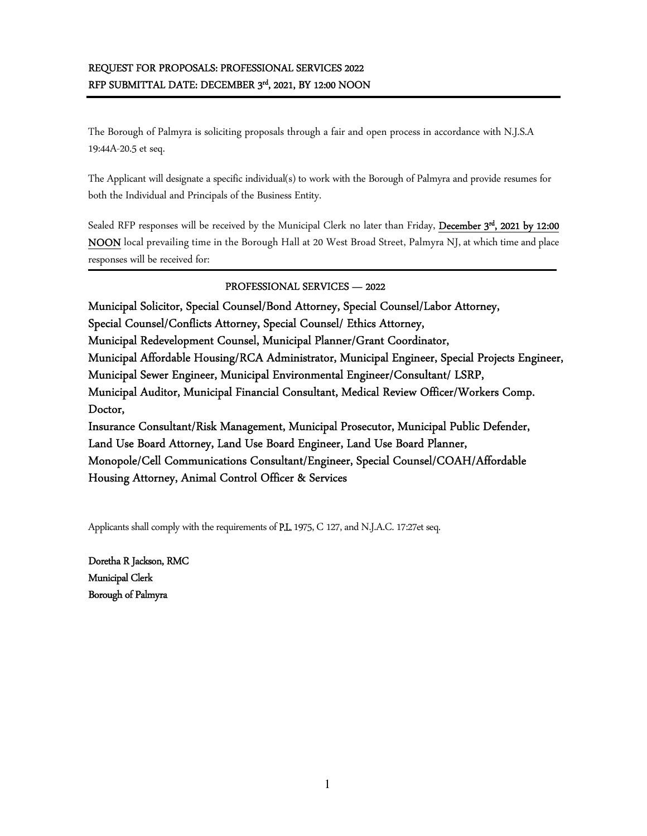# REQUEST FOR PROPOSALS: PROFESSIONAL SERVICES 2022 RFP SUBMITTAL DATE: DECEMBER 3<sup>rd</sup>, 2021, BY 12:00 NOON

The Borough of Palmyra is soliciting proposals through a fair and open process in accordance with N.J.S.A 19:44A-20.5 et seq.

The Applicant will designate a specific individual(s) to work with the Borough of Palmyra and provide resumes for both the Individual and Principals of the Business Entity.

Sealed RFP responses will be received by the Municipal Clerk no later than Friday, December 3<sup>rd</sup>, 2021 by 12:00 NOON local prevailing time in the Borough Hall at 20 West Broad Street, Palmyra NJ, at which time and place responses will be received for:

# PROFESSIONAL SERVICES — 2022

Municipal Solicitor, Special Counsel/Bond Attorney, Special Counsel/Labor Attorney, Special Counsel/Conflicts Attorney, Special Counsel/ Ethics Attorney, Municipal Redevelopment Counsel, Municipal Planner/Grant Coordinator, Municipal Affordable Housing/RCA Administrator, Municipal Engineer, Special Projects Engineer, Municipal Sewer Engineer, Municipal Environmental Engineer/Consultant/ LSRP, Municipal Auditor, Municipal Financial Consultant, Medical Review Officer/Workers Comp. Doctor, Insurance Consultant/Risk Management, Municipal Prosecutor, Municipal Public Defender, Land Use Board Attorney, Land Use Board Engineer, Land Use Board Planner, Monopole/Cell Communications Consultant/Engineer, Special Counsel/COAH/Affordable Housing Attorney, Animal Control Officer & Services

Applicants shall comply with the requirements of P.L. 1975, C 127, and N.J.A.C. 17:27et seq.

Doretha R Jackson, RMC Municipal Clerk Borough of Palmyra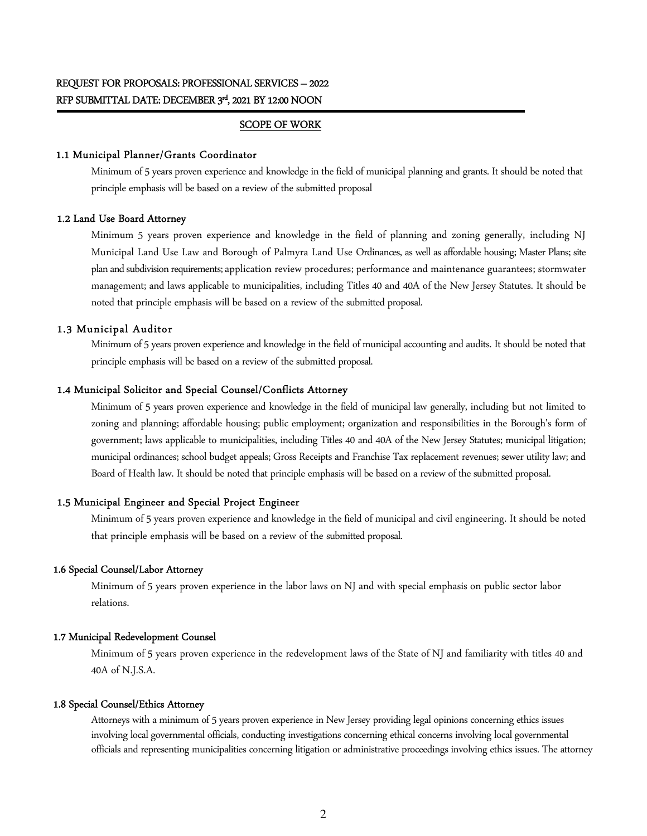## SCOPE OF WORK

#### 1.1 Municipal Planner/Grants Coordinator

Minimum of 5 years proven experience and knowledge in the field of municipal planning and grants. It should be noted that principle emphasis will be based on a review of the submitted proposal

#### 1.2 Land Use Board Attorney

Minimum 5 years proven experience and knowledge in the field of planning and zoning generally, including NJ Municipal Land Use Law and Borough of Palmyra Land Use Ordinances, as well as affordable housing; Master Plans; site plan and subdivision requirements; application review procedures; performance and maintenance guarantees; stormwater management; and laws applicable to municipalities, including Titles 40 and 40A of the New Jersey Statutes. It should be noted that principle emphasis will be based on a review of the submitted proposal.

#### 1.3 Municipal Auditor

Minimum of 5 years proven experience and knowledge in the field of municipal accounting and audits. It should be noted that principle emphasis will be based on a review of the submitted proposal.

## 1.4 Municipal Solicitor and Special Counsel/Conflicts Attorney

Minimum of 5 years proven experience and knowledge in the field of municipal law generally, including but not limited to zoning and planning; affordable housing; public employment; organization and responsibilities in the Borough's form of government; laws applicable to municipalities, including Titles 40 and 40A of the New Jersey Statutes; municipal litigation; municipal ordinances; school budget appeals; Gross Receipts and Franchise Tax replacement revenues; sewer utility law; and Board of Health law. It should be noted that principle emphasis will be based on a review of the submitted proposal.

#### 1.5 Municipal Engineer and Special Project Engineer

Minimum of 5 years proven experience and knowledge in the field of municipal and civil engineering. It should be noted that principle emphasis will be based on a review of the submitted proposal.

## 1.6 Special Counsel/Labor Attorney

Minimum of 5 years proven experience in the labor laws on NJ and with special emphasis on public sector labor relations.

#### 1.7 Municipal Redevelopment Counsel

Minimum of 5 years proven experience in the redevelopment laws of the State of NJ and familiarity with titles 40 and 40A of N.J.S.A.

### 1.8 Special Counsel/Ethics Attorney

Attorneys with a minimum of 5 years proven experience in New Jersey providing legal opinions concerning ethics issues involving local governmental officials, conducting investigations concerning ethical concerns involving local governmental officials and representing municipalities concerning litigation or administrative proceedings involving ethics issues. The attorney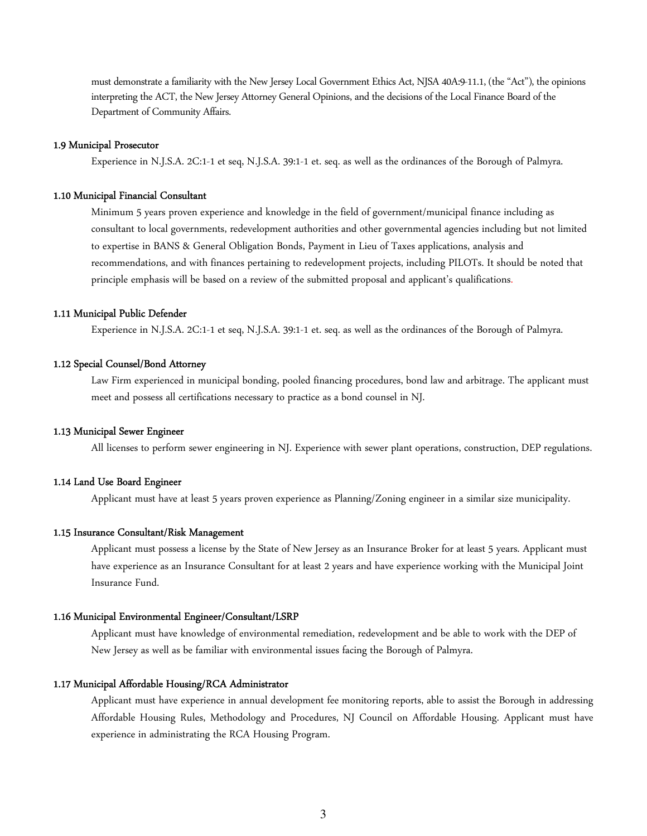must demonstrate a familiarity with the New Jersey Local Government Ethics Act, NJSA 40A:9-11.1, (the "Act"), the opinions interpreting the ACT, the New Jersey Attorney General Opinions, and the decisions of the Local Finance Board of the Department of Community Affairs.

#### 1.9 Municipal Prosecutor

Experience in N.J.S.A. 2C:1-1 et seq, N.J.S.A. 39:1-1 et. seq. as well as the ordinances of the Borough of Palmyra.

#### 1.10 Municipal Financial Consultant

Minimum 5 years proven experience and knowledge in the field of government/municipal finance including as consultant to local governments, redevelopment authorities and other governmental agencies including but not limited to expertise in BANS & General Obligation Bonds, Payment in Lieu of Taxes applications, analysis and recommendations, and with finances pertaining to redevelopment projects, including PILOTs. It should be noted that principle emphasis will be based on a review of the submitted proposal and applicant's qualifications.

#### 1.11 Municipal Public Defender

Experience in N.J.S.A. 2C:1-1 et seq, N.J.S.A. 39:1-1 et. seq. as well as the ordinances of the Borough of Palmyra.

#### 1.12 Special Counsel/Bond Attorney

Law Firm experienced in municipal bonding, pooled financing procedures, bond law and arbitrage. The applicant must meet and possess all certifications necessary to practice as a bond counsel in NJ.

#### 1.13 Municipal Sewer Engineer

All licenses to perform sewer engineering in NJ. Experience with sewer plant operations, construction, DEP regulations.

### 1.14 Land Use Board Engineer

Applicant must have at least 5 years proven experience as Planning/Zoning engineer in a similar size municipality.

#### 1.15 Insurance Consultant/Risk Management

Applicant must possess a license by the State of New Jersey as an Insurance Broker for at least 5 years. Applicant must have experience as an Insurance Consultant for at least 2 years and have experience working with the Municipal Joint Insurance Fund.

#### 1.16 Municipal Environmental Engineer/Consultant/LSRP

Applicant must have knowledge of environmental remediation, redevelopment and be able to work with the DEP of New Jersey as well as be familiar with environmental issues facing the Borough of Palmyra.

#### 1.17 Municipal Affordable Housing/RCA Administrator

Applicant must have experience in annual development fee monitoring reports, able to assist the Borough in addressing Affordable Housing Rules, Methodology and Procedures, NJ Council on Affordable Housing. Applicant must have experience in administrating the RCA Housing Program.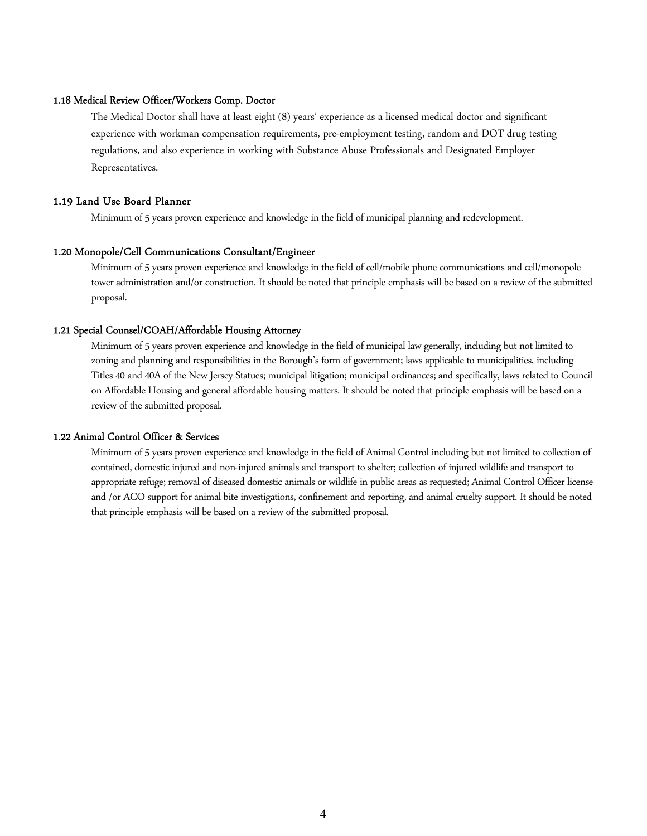### 1.18 Medical Review Officer/Workers Comp. Doctor

The Medical Doctor shall have at least eight (8) years' experience as a licensed medical doctor and significant experience with workman compensation requirements, pre-employment testing, random and DOT drug testing regulations, and also experience in working with Substance Abuse Professionals and Designated Employer Representatives.

#### 1.19 Land Use Board Planner

Minimum of 5 years proven experience and knowledge in the field of municipal planning and redevelopment.

#### 1.20 Monopole/Cell Communications Consultant/Engineer

Minimum of 5 years proven experience and knowledge in the field of cell/mobile phone communications and cell/monopole tower administration and/or construction. It should be noted that principle emphasis will be based on a review of the submitted proposal.

### 1.21 Special Counsel/COAH/Affordable Housing Attorney

Minimum of 5 years proven experience and knowledge in the field of municipal law generally, including but not limited to zoning and planning and responsibilities in the Borough's form of government; laws applicable to municipalities, including Titles 40 and 40A of the New Jersey Statues; municipal litigation; municipal ordinances; and specifically, laws related to Council on Affordable Housing and general affordable housing matters. It should be noted that principle emphasis will be based on a review of the submitted proposal.

#### 1.22 Animal Control Officer & Services

Minimum of 5 years proven experience and knowledge in the field of Animal Control including but not limited to collection of contained, domestic injured and non-injured animals and transport to shelter; collection of injured wildlife and transport to appropriate refuge; removal of diseased domestic animals or wildlife in public areas as requested; Animal Control Officer license and /or ACO support for animal bite investigations, confinement and reporting, and animal cruelty support. It should be noted that principle emphasis will be based on a review of the submitted proposal.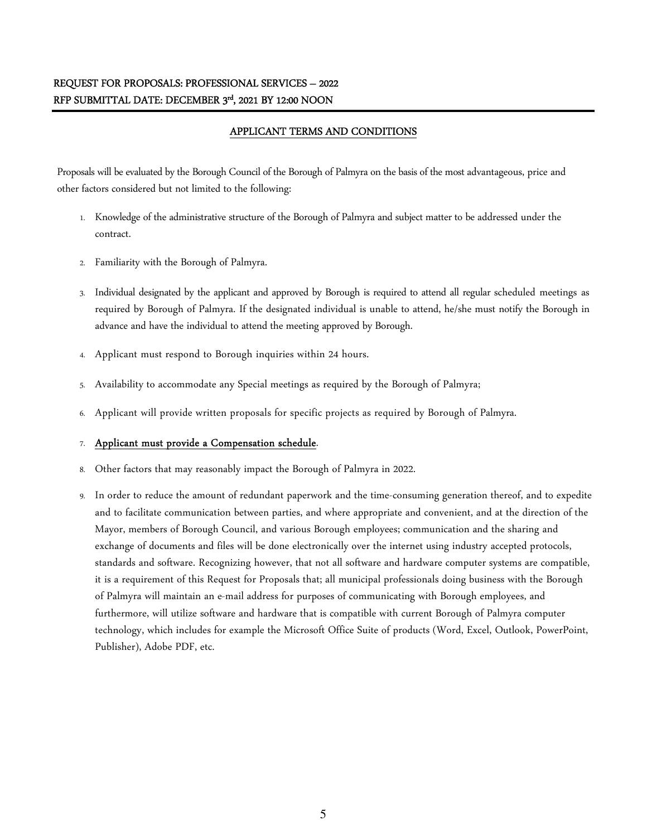# REQUEST FOR PROPOSALS: PROFESSIONAL SERVICES – 2022 RFP SUBMITTAL DATE: DECEMBER 3<sup>rd</sup>, 2021 BY 12:00 NOON

## APPLICANT TERMS AND CONDITIONS

Proposals will be evaluated by the Borough Council of the Borough of Palmyra on the basis of the most advantageous, price and other factors considered but not limited to the following:

- 1. Knowledge of the administrative structure of the Borough of Palmyra and subject matter to be addressed under the contract.
- 2. Familiarity with the Borough of Palmyra.
- 3. Individual designated by the applicant and approved by Borough is required to attend all regular scheduled meetings as required by Borough of Palmyra. If the designated individual is unable to attend, he/she must notify the Borough in advance and have the individual to attend the meeting approved by Borough.
- 4. Applicant must respond to Borough inquiries within 24 hours.
- 5. Availability to accommodate any Special meetings as required by the Borough of Palmyra;
- 6. Applicant will provide written proposals for specific projects as required by Borough of Palmyra.

## 7. Applicant must provide a Compensation schedule.

- 8. Other factors that may reasonably impact the Borough of Palmyra in 2022.
- 9. In order to reduce the amount of redundant paperwork and the time-consuming generation thereof, and to expedite and to facilitate communication between parties, and where appropriate and convenient, and at the direction of the Mayor, members of Borough Council, and various Borough employees; communication and the sharing and exchange of documents and files will be done electronically over the internet using industry accepted protocols, standards and software. Recognizing however, that not all software and hardware computer systems are compatible, it is a requirement of this Request for Proposals that; all municipal professionals doing business with the Borough of Palmyra will maintain an e-mail address for purposes of communicating with Borough employees, and furthermore, will utilize software and hardware that is compatible with current Borough of Palmyra computer technology, which includes for example the Microsoft Office Suite of products (Word, Excel, Outlook, PowerPoint, Publisher), Adobe PDF, etc.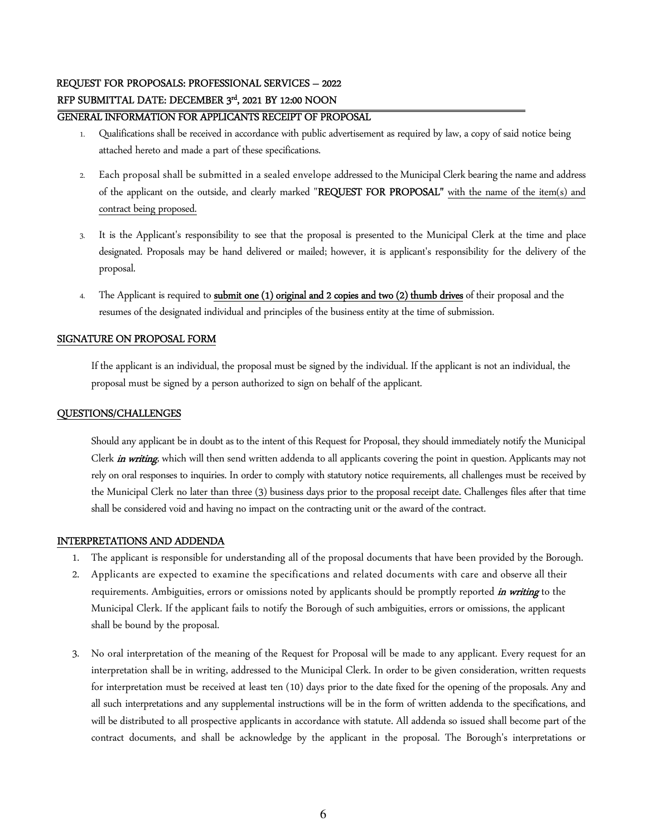# REQUEST FOR PROPOSALS: PROFESSIONAL SERVICES – 2022 RFP SUBMITTAL DATE: DECEMBER 3<sup>rd</sup>, 2021 BY 12:00 NOON

# GENERAL INFORMATION FOR APPLICANTS RECEIPT OF PROPOSAL

- 1. Qualifications shall be received in accordance with public advertisement as required by law, a copy of said notice being attached hereto and made a part of these specifications.
- 2. Each proposal shall be submitted in a sealed envelope addressed to the Municipal Clerk bearing the name and address of the applicant on the outside, and clearly marked "REQUEST FOR PROPOSAL" with the name of the item(s) and contract being proposed.
- 3. It is the Applicant's responsibility to see that the proposal is presented to the Municipal Clerk at the time and place designated. Proposals may be hand delivered or mailed; however, it is applicant's responsibility for the delivery of the proposal.
- 4. The Applicant is required to submit one (1) original and 2 copies and two (2) thumb drives of their proposal and the resumes of the designated individual and principles of the business entity at the time of submission.

## SIGNATURE ON PROPOSAL FORM

If the applicant is an individual, the proposal must be signed by the individual. If the applicant is not an individual, the proposal must be signed by a person authorized to sign on behalf of the applicant.

## QUESTIONS/CHALLENGES

Should any applicant be in doubt as to the intent of this Request for Proposal, they should immediately notify the Municipal Clerk *in writing*, which will then send written addenda to all applicants covering the point in question. Applicants may not rely on oral responses to inquiries. In order to comply with statutory notice requirements, all challenges must be received by the Municipal Clerk no later than three (3) business days prior to the proposal receipt date. Challenges files after that time shall be considered void and having no impact on the contracting unit or the award of the contract.

## INTERPRETATIONS AND ADDENDA

- 1. The applicant is responsible for understanding all of the proposal documents that have been provided by the Borough.
- 2. Applicants are expected to examine the specifications and related documents with care and observe all their requirements. Ambiguities, errors or omissions noted by applicants should be promptly reported *in writing* to the Municipal Clerk. If the applicant fails to notify the Borough of such ambiguities, errors or omissions, the applicant shall be bound by the proposal.
- 3. No oral interpretation of the meaning of the Request for Proposal will be made to any applicant. Every request for an interpretation shall be in writing, addressed to the Municipal Clerk. In order to be given consideration, written requests for interpretation must be received at least ten (10) days prior to the date fixed for the opening of the proposals. Any and all such interpretations and any supplemental instructions will be in the form of written addenda to the specifications, and will be distributed to all prospective applicants in accordance with statute. All addenda so issued shall become part of the contract documents, and shall be acknowledge by the applicant in the proposal. The Borough's interpretations or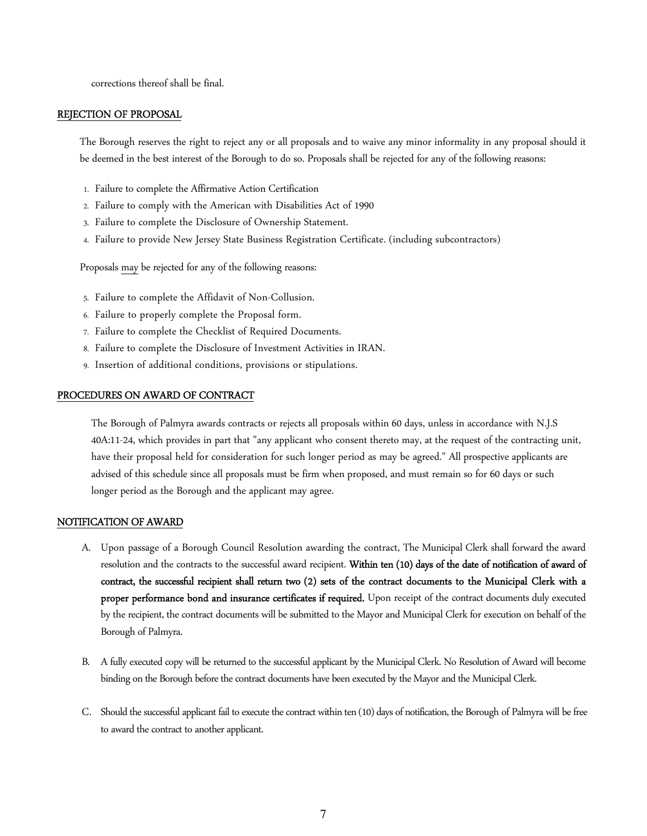corrections thereof shall be final.

## REJECTION OF PROPOSAL

The Borough reserves the right to reject any or all proposals and to waive any minor informality in any proposal should it be deemed in the best interest of the Borough to do so. Proposals shall be rejected for any of the following reasons:

- 1. Failure to complete the Affirmative Action Certification
- 2. Failure to comply with the American with Disabilities Act of 1990
- 3. Failure to complete the Disclosure of Ownership Statement.
- 4. Failure to provide New Jersey State Business Registration Certificate. (including subcontractors)

Proposals may be rejected for any of the following reasons:

- 5. Failure to complete the Affidavit of Non-Collusion.
- 6. Failure to properly complete the Proposal form.
- 7. Failure to complete the Checklist of Required Documents.
- 8. Failure to complete the Disclosure of Investment Activities in IRAN.
- 9. Insertion of additional conditions, provisions or stipulations.

## PROCEDURES ON AWARD OF CONTRACT

The Borough of Palmyra awards contracts or rejects all proposals within 60 days, unless in accordance with N.J.S 40A:11-24, which provides in part that "any applicant who consent thereto may, at the request of the contracting unit, have their proposal held for consideration for such longer period as may be agreed." All prospective applicants are advised of this schedule since all proposals must be firm when proposed, and must remain so for 60 days or such longer period as the Borough and the applicant may agree.

## NOTIFICATION OF AWARD

- A. Upon passage of a Borough Council Resolution awarding the contract, The Municipal Clerk shall forward the award resolution and the contracts to the successful award recipient. Within ten (10) days of the date of notification of award of contract, the successful recipient shall return two (2) sets of the contract documents to the Municipal Clerk with a proper performance bond and insurance certificates if required. Upon receipt of the contract documents duly executed by the recipient, the contract documents will be submitted to the Mayor and Municipal Clerk for execution on behalf of the Borough of Palmyra.
- B. A fully executed copy will be returned to the successful applicant by the Municipal Clerk. No Resolution of Award will become binding on the Borough before the contract documents have been executed by the Mayor and the Municipal Clerk.
- C. Should the successful applicant fail to execute the contract within ten (10) days of notification, the Borough of Palmyra will be free to award the contract to another applicant.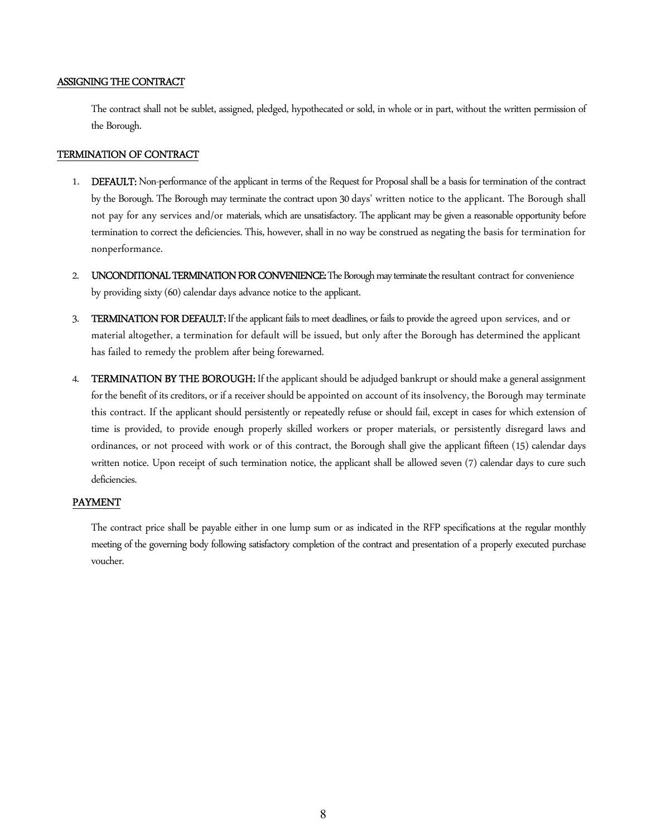### ASSIGNING THE CONTRACT

The contract shall not be sublet, assigned, pledged, hypothecated or sold, in whole or in part, without the written permission of the Borough.

### TERMINATION OF CONTRACT

- 1. DEFAULT: Non-performance of the applicant in terms of the Request for Proposal shall be a basis for termination of the contract by the Borough. The Borough may terminate the contract upon 30 days' written notice to the applicant. The Borough shall not pay for any services and/or materials, which are unsatisfactory. The applicant may be given a reasonable opportunity before termination to correct the deficiencies. This, however, shall in no way be construed as negating the basis for termination for nonperformance.
- 2. UNCONDITIONAL TERMINATION FOR CONVENIENCE: The Borough may terminate the resultant contract for convenience by providing sixty (60) calendar days advance notice to the applicant.
- 3. TERMINATION FOR DEFAULT: If the applicant fails to meet deadlines, or fails to provide the agreed upon services, and or material altogether, a termination for default will be issued, but only after the Borough has determined the applicant has failed to remedy the problem after being forewarned.
- 4. TERMINATION BY THE BOROUGH: If the applicant should be adjudged bankrupt or should make a general assignment for the benefit of its creditors, or if a receiver should be appointed on account of its insolvency, the Borough may terminate this contract. If the applicant should persistently or repeatedly refuse or should fail, except in cases for which extension of time is provided, to provide enough properly skilled workers or proper materials, or persistently disregard laws and ordinances, or not proceed with work or of this contract, the Borough shall give the applicant fifteen (15) calendar days written notice. Upon receipt of such termination notice, the applicant shall be allowed seven (7) calendar days to cure such deficiencies.

## PAYMENT

The contract price shall be payable either in one lump sum or as indicated in the RFP specifications at the regular monthly meeting of the governing body following satisfactory completion of the contract and presentation of a properly executed purchase voucher.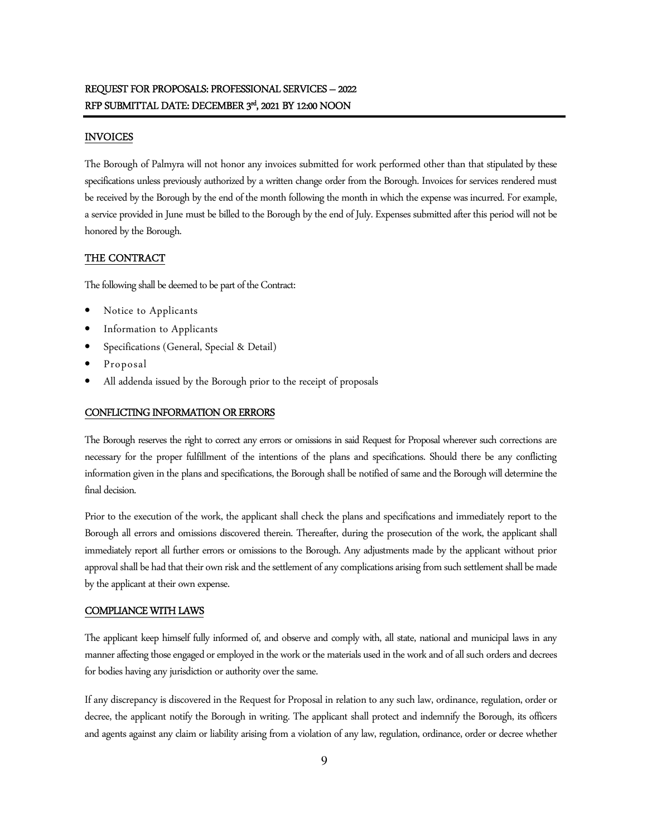## INVOICES

The Borough of Palmyra will not honor any invoices submitted for work performed other than that stipulated by these specifications unless previously authorized by a written change order from the Borough. Invoices for services rendered must be received by the Borough by the end of the month following the month in which the expense was incurred. For example, a service provided in June must be billed to the Borough by the end of July. Expenses submitted after this period will not be honored by the Borough.

## THE CONTRACT

The following shall be deemed to be part of the Contract:

- Notice to Applicants
- Information to Applicants
- Specifications (General, Special & Detail)
- Proposal
- All addenda issued by the Borough prior to the receipt of proposals

### CONFLICTING INFORMATION OR ERRORS

The Borough reserves the right to correct any errors or omissions in said Request for Proposal wherever such corrections are necessary for the proper fulfillment of the intentions of the plans and specifications. Should there be any conflicting information given in the plans and specifications, the Borough shall be notified of same and the Borough will determine the final decision.

Prior to the execution of the work, the applicant shall check the plans and specifications and immediately report to the Borough all errors and omissions discovered therein. Thereafter, during the prosecution of the work, the applicant shall immediately report all further errors or omissions to the Borough. Any adjustments made by the applicant without prior approval shall be had that their own risk and the settlement of any complications arising from such settlement shall be made by the applicant at their own expense.

## COMPLIANCE WITH LAWS

The applicant keep himself fully informed of, and observe and comply with, all state, national and municipal laws in any manner affecting those engaged or employed in the work or the materials used in the work and of all such orders and decrees for bodies having any jurisdiction or authority over the same.

If any discrepancy is discovered in the Request for Proposal in relation to any such law, ordinance, regulation, order or decree, the applicant notify the Borough in writing. The applicant shall protect and indemnify the Borough, its officers and agents against any claim or liability arising from a violation of any law, regulation, ordinance, order or decree whether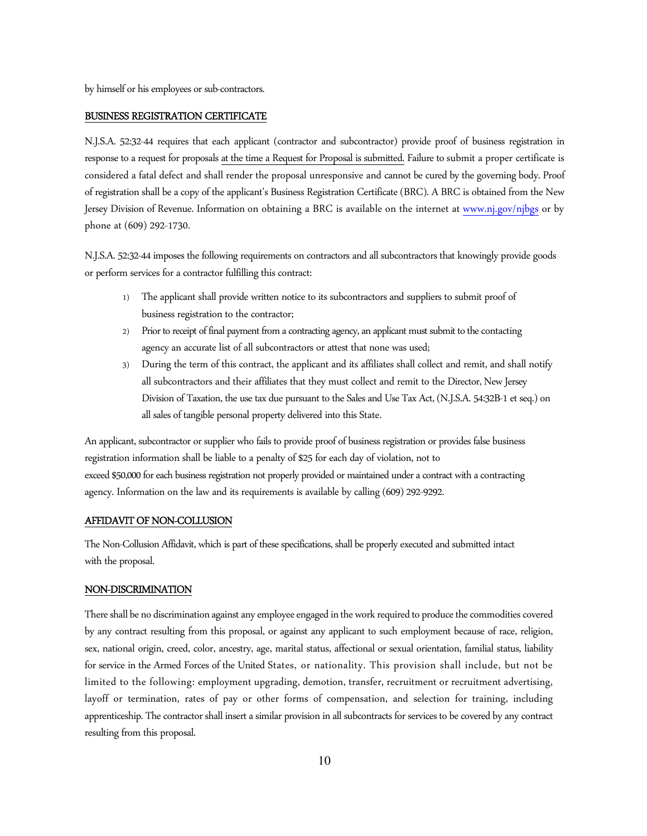by himself or his employees or sub-contractors.

#### BUSINESS REGISTRATION CERTIFICATE

N.J.S.A. 52:32-44 requires that each applicant (contractor and subcontractor) provide proof of business registration in response to a request for proposals at the time a Request for Proposal is submitted. Failure to submit a proper certificate is considered a fatal defect and shall render the proposal unresponsive and cannot be cured by the governing body. Proof of registration shall be a copy of the applicant's Business Registration Certificate (BRC). A BRC is obtained from the New Jersey Division of Revenue. Information on obtaining a BRC is available on the internet at www.nj.gov/njbgs or by phone at (609) 292-1730.

N.J.S.A. 52:32-44 imposes the following requirements on contractors and all subcontractors that knowingly provide goods or perform services for a contractor fulfilling this contract:

- 1) The applicant shall provide written notice to its subcontractors and suppliers to submit proof of business registration to the contractor;
- 2) Prior to receipt of final payment from a contracting agency, an applicant must submit to the contacting agency an accurate list of all subcontractors or attest that none was used;
- 3) During the term of this contract, the applicant and its affiliates shall collect and remit, and shall notify all subcontractors and their affiliates that they must collect and remit to the Director, New Jersey Division of Taxation, the use tax due pursuant to the Sales and Use Tax Act, (N.J.S.A. 54:32B-1 et seq.) on all sales of tangible personal property delivered into this State.

An applicant, subcontractor or supplier who fails to provide proof of business registration or provides false business registration information shall be liable to a penalty of \$25 for each day of violation, not to exceed \$50,000 for each business registration not properly provided or maintained under a contract with a contracting agency. Information on the law and its requirements is available by calling (609) 292-9292.

#### AFFIDAVIT OF NON-COLLUSION

The Non-Collusion Affidavit, which is part of these specifications, shall be properly executed and submitted intact with the proposal.

#### NON-DISCRIMINATION

There shall be no discrimination against any employee engaged in the work required to produce the commodities covered by any contract resulting from this proposal, or against any applicant to such employment because of race, religion, sex, national origin, creed, color, ancestry, age, marital status, affectional or sexual orientation, familial status, liability for service in the Armed Forces of the United States, or nationality. This provision shall include, but not be limited to the following: employment upgrading, demotion, transfer, recruitment or recruitment advertising, layoff or termination, rates of pay or other forms of compensation, and selection for training, including apprenticeship. The contractor shall insert a similar provision in all subcontracts for services to be covered by any contract resulting from this proposal.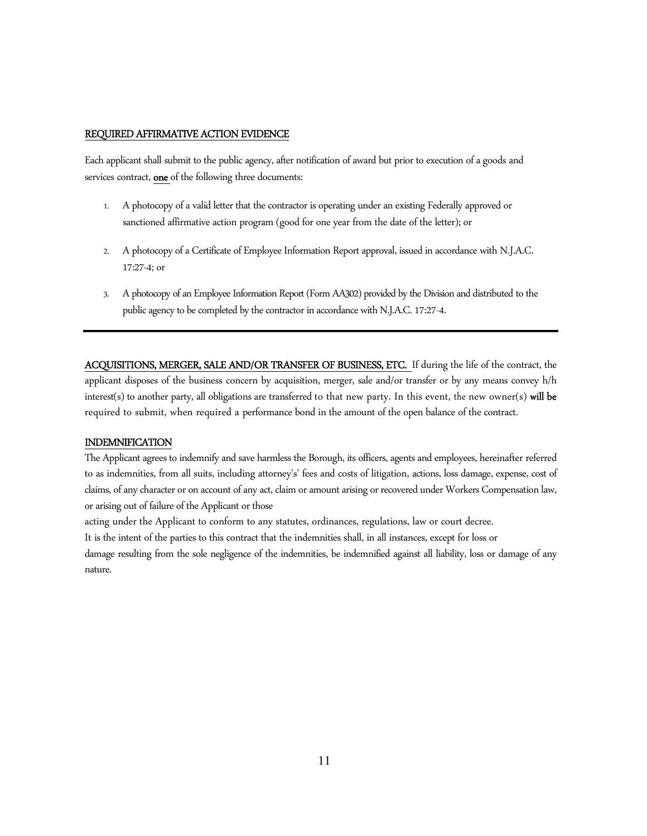#### REQUIRED AFFIRMATIVE ACTION EVIDENCE

Each applicant shall submit to the public agency, after notification of award but prior to execution of a goods and services contract, one of the following three documents:

- 1. A photocopy of a valid letter that the contractor is operating under an existing Federally approved or sanctioned affirmative action program (good for one year from the date of the letter); or
- 2. A photocopy of a Certificate of Employee Information Report approval, issued in accordance with N.J.A.C. 17:27-4; or
- 3. A photocopy of an Employee Information Report (Form AA302) provided by the Division and distributed to the public agency to be completed by the contractor in accordance with N.J.A.C. 17:27-4.

ACQUISITIONS, MERGER, SALE AND/OR TRANSFER OF BUSINESS, ETC. If during the life of the contract, the applicant disposes of the business concern by acquisition, merger, sale and/or transfer or by any means convey h/h interest(s) to another party, all obligations are transferred to that new party. In this event, the new owner(s) will be required to submit, when required a performance bond in the amount of the open balance of the contract.

#### INDEMNIFICATION

The Applicant agrees to indemnify and save harmless the Borough, its officers, agents and employees, hereinafter referred to as indemnities, from all suits, including attorney's' fees and costs of litigation, actions, loss damage, expense, cost of claims, of any character or on account of any act, claim or amount arising or recovered under Workers Compensation law, or arising out of failure of the Applicant or those

acting under the Applicant to conform to any statutes, ordinances, regulations, law or court decree.

It is the intent of the parties to this contract that the indemnities shall, in all instances, except for loss or

damage resulting from the sole negligence of the indemnities, be indemnified against all liability, loss or damage of any nature.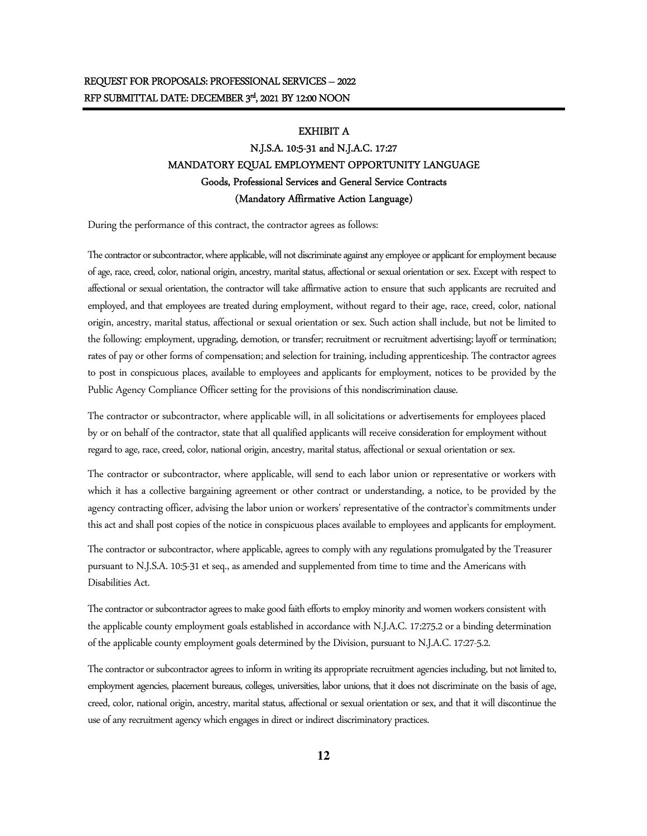#### EXHIBIT A

# N.J.S.A. 10:5-31 and N.J.A.C. 17:27 MANDATORY EQUAL EMPLOYMENT OPPORTUNITY LANGUAGE Goods, Professional Services and General Service Contracts (Mandatory Affirmative Action Language)

During the performance of this contract, the contractor agrees as follows:

The contractor or subcontractor, where applicable, will not discriminate against any employee or applicant for employment because of age, race, creed, color, national origin, ancestry, marital status, affectional or sexual orientation or sex. Except with respect to affectional or sexual orientation, the contractor will take affirmative action to ensure that such applicants are recruited and employed, and that employees are treated during employment, without regard to their age, race, creed, color, national origin, ancestry, marital status, affectional or sexual orientation or sex. Such action shall include, but not be limited to the following: employment, upgrading, demotion, or transfer; recruitment or recruitment advertising; layoff or termination; rates of pay or other forms of compensation; and selection for training, including apprenticeship. The contractor agrees to post in conspicuous places, available to employees and applicants for employment, notices to be provided by the Public Agency Compliance Officer setting for the provisions of this nondiscrimination clause.

The contractor or subcontractor, where applicable will, in all solicitations or advertisements for employees placed by or on behalf of the contractor, state that all qualified applicants will receive consideration for employment without regard to age, race, creed, color, national origin, ancestry, marital status, affectional or sexual orientation or sex.

The contractor or subcontractor, where applicable, will send to each labor union or representative or workers with which it has a collective bargaining agreement or other contract or understanding, a notice, to be provided by the agency contracting officer, advising the labor union or workers' representative of the contractor's commitments under this act and shall post copies of the notice in conspicuous places available to employees and applicants for employment.

The contractor or subcontractor, where applicable, agrees to comply with any regulations promulgated by the Treasurer pursuant to N.J.S.A. 10:5-31 et seq., as amended and supplemented from time to time and the Americans with Disabilities Act.

The contractor or subcontractor agrees to make good faith efforts to employ minority and women workers consistent with the applicable county employment goals established in accordance with N.J.A.C. 17:275.2 or a binding determination of the applicable county employment goals determined by the Division, pursuant to N.J.A.C. 17:27-5.2.

The contractor or subcontractor agrees to inform in writing its appropriate recruitment agencies including, but not limited to, employment agencies, placement bureaus, colleges, universities, labor unions, that it does not discriminate on the basis of age, creed, color, national origin, ancestry, marital status, affectional or sexual orientation or sex, and that it will discontinue the use of any recruitment agency which engages in direct or indirect discriminatory practices.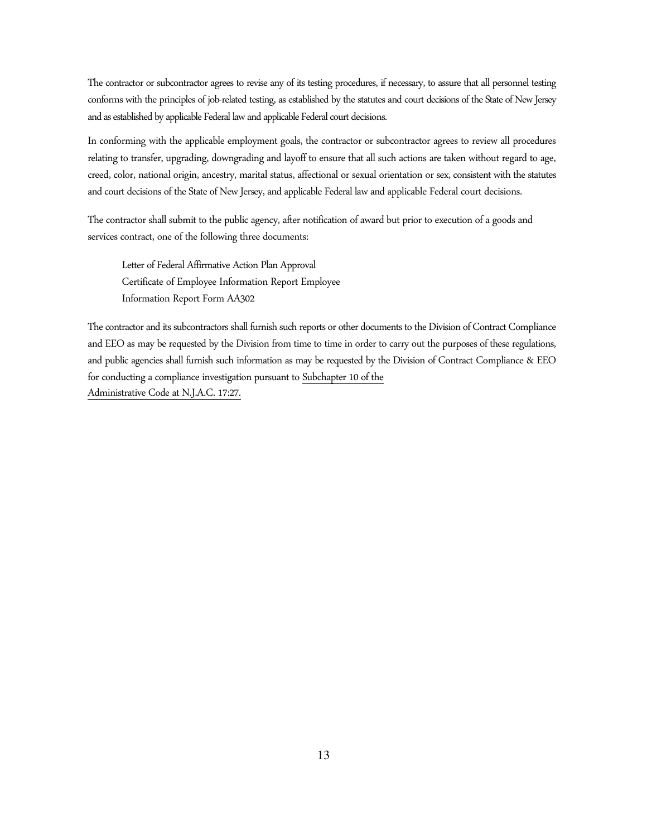The contractor or subcontractor agrees to revise any of its testing procedures, if necessary, to assure that all personnel testing conforms with the principles of job-related testing, as established by the statutes and court decisions of the State of New Jersey and as established by applicable Federal law and applicable Federal court decisions.

In conforming with the applicable employment goals, the contractor or subcontractor agrees to review all procedures relating to transfer, upgrading, downgrading and layoff to ensure that all such actions are taken without regard to age, creed, color, national origin, ancestry, marital status, affectional or sexual orientation or sex, consistent with the statutes and court decisions of the State of New Jersey, and applicable Federal law and applicable Federal court decisions.

The contractor shall submit to the public agency, after notification of award but prior to execution of a goods and services contract, one of the following three documents:

Letter of Federal Affirmative Action Plan Approval Certificate of Employee Information Report Employee Information Report Form AA302

The contractor and its subcontractors shall furnish such reports or other documents to the Division of Contract Compliance and EEO as may be requested by the Division from time to time in order to carry out the purposes of these regulations, and public agencies shall furnish such information as may be requested by the Division of Contract Compliance & EEO for conducting a compliance investigation pursuant to Subchapter 10 of the Administrative Code at N.J.A.C. 17:27.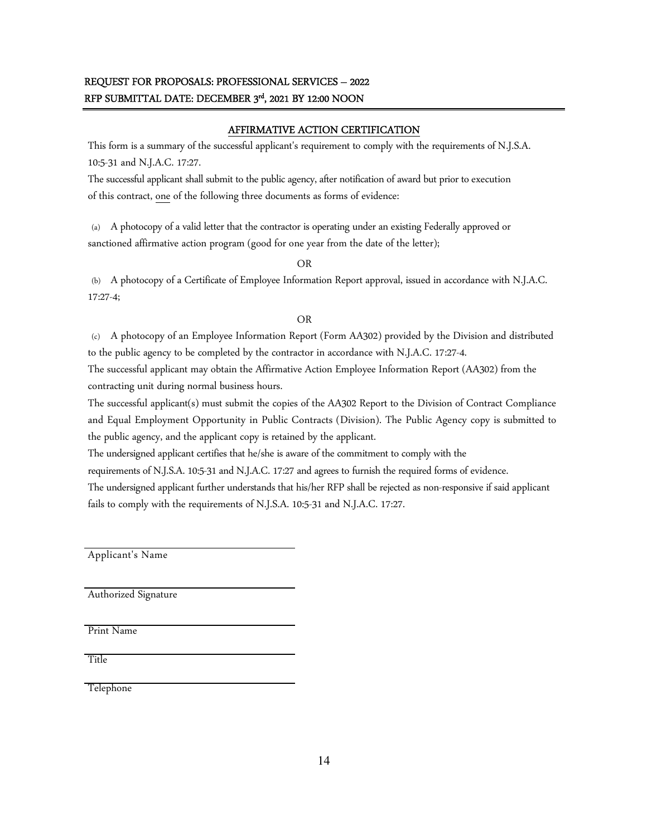# REQUEST FOR PROPOSALS: PROFESSIONAL SERVICES – 2022 RFP SUBMITTAL DATE: DECEMBER 3<sup>rd</sup>, 2021 BY 12:00 NOON

## AFFIRMATIVE ACTION CERTIFICATION

This form is a summary of the successful applicant's requirement to comply with the requirements of N.J.S.A. 10:5-31 and N.J.A.C. 17:27.

The successful applicant shall submit to the public agency, after notification of award but prior to execution of this contract, one of the following three documents as forms of evidence:

(a) A photocopy of a valid letter that the contractor is operating under an existing Federally approved or sanctioned affirmative action program (good for one year from the date of the letter);

OR

(b) A photocopy of a Certificate of Employee Information Report approval, issued in accordance with N.J.A.C. 17:27-4;

## OR

(c) A photocopy of an Employee Information Report (Form AA302) provided by the Division and distributed to the public agency to be completed by the contractor in accordance with N.J.A.C. 17:27-4.

The successful applicant may obtain the Affirmative Action Employee Information Report (AA302) from the contracting unit during normal business hours.

The successful applicant(s) must submit the copies of the AA302 Report to the Division of Contract Compliance and Equal Employment Opportunity in Public Contracts (Division). The Public Agency copy is submitted to the public agency, and the applicant copy is retained by the applicant.

The undersigned applicant certifies that he/she is aware of the commitment to comply with the

requirements of N.J.S.A. 10:5-31 and N.J.A.C. 17:27 and agrees to furnish the required forms of evidence.

The undersigned applicant further understands that his/her RFP shall be rejected as non-responsive if said applicant fails to comply with the requirements of N.J.S.A. 10:5-31 and N.J.A.C. 17:27.

Applicant's Name

Authorized Signature

Print Name

Title

Telephone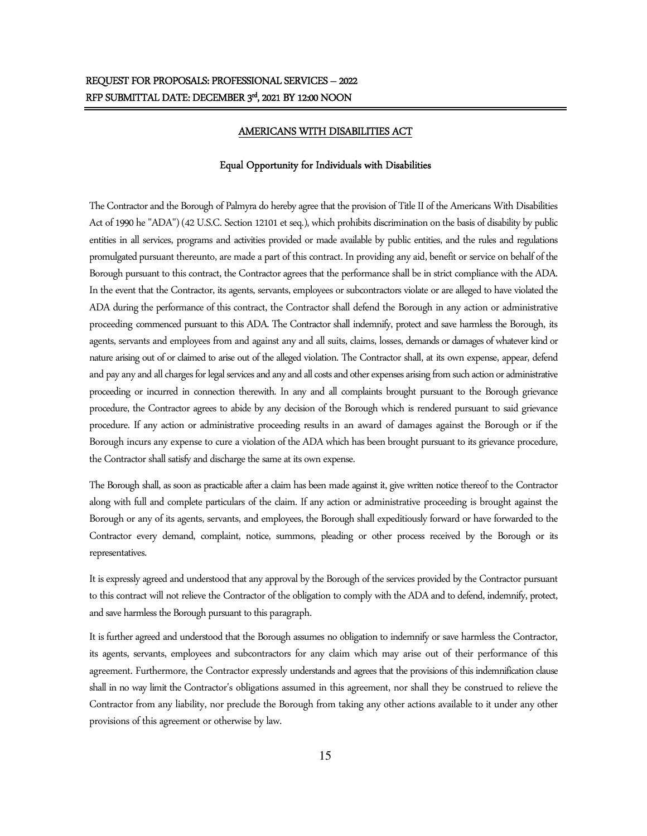#### AMERICANS WITH DISABILITIES ACT

#### Equal Opportunity for Individuals with Disabilities

The Contractor and the Borough of Palmyra do hereby agree that the provision of Title II of the Americans With Disabilities Act of 1990 he "ADA") (42 U.S.C. Section 12101 et seq.), which prohibits discrimination on the basis of disability by public entities in all services, programs and activities provided or made available by public entities, and the rules and regulations promulgated pursuant thereunto, are made a part of this contract. In providing any aid, benefit or service on behalf of the Borough pursuant to this contract, the Contractor agrees that the performance shall be in strict compliance with the ADA. In the event that the Contractor, its agents, servants, employees or subcontractors violate or are alleged to have violated the ADA during the performance of this contract, the Contractor shall defend the Borough in any action or administrative proceeding commenced pursuant to this ADA. The Contractor shall indemnify, protect and save harmless the Borough, its agents, servants and employees from and against any and all suits, claims, losses, demands or damages of whatever kind or nature arising out of or claimed to arise out of the alleged violation. The Contractor shall, at its own expense, appear, defend and pay any and all charges for legal services and any and all costs and other expenses arising from such action or administrative proceeding or incurred in connection therewith. In any and all complaints brought pursuant to the Borough grievance procedure, the Contractor agrees to abide by any decision of the Borough which is rendered pursuant to said grievance procedure. If any action or administrative proceeding results in an award of damages against the Borough or if the Borough incurs any expense to cure a violation of the ADA which has been brought pursuant to its grievance procedure, the Contractor shall satisfy and discharge the same at its own expense.

The Borough shall, as soon as practicable after a claim has been made against it, give written notice thereof to the Contractor along with full and complete particulars of the claim. If any action or administrative proceeding is brought against the Borough or any of its agents, servants, and employees, the Borough shall expeditiously forward or have forwarded to the Contractor every demand, complaint, notice, summons, pleading or other process received by the Borough or its representatives.

It is expressly agreed and understood that any approval by the Borough of the services provided by the Contractor pursuant to this contract will not relieve the Contractor of the obligation to comply with the ADA and to defend, indemnify, protect, and save harmless the Borough pursuant to this paragraph.

It is further agreed and understood that the Borough assumes no obligation to indemnify or save harmless the Contractor, its agents, servants, employees and subcontractors for any claim which may arise out of their performance of this agreement. Furthermore, the Contractor expressly understands and agrees that the provisions of this indemnification clause shall in no way limit the Contractor's obligations assumed in this agreement, nor shall they be construed to relieve the Contractor from any liability, nor preclude the Borough from taking any other actions available to it under any other provisions of this agreement or otherwise by law.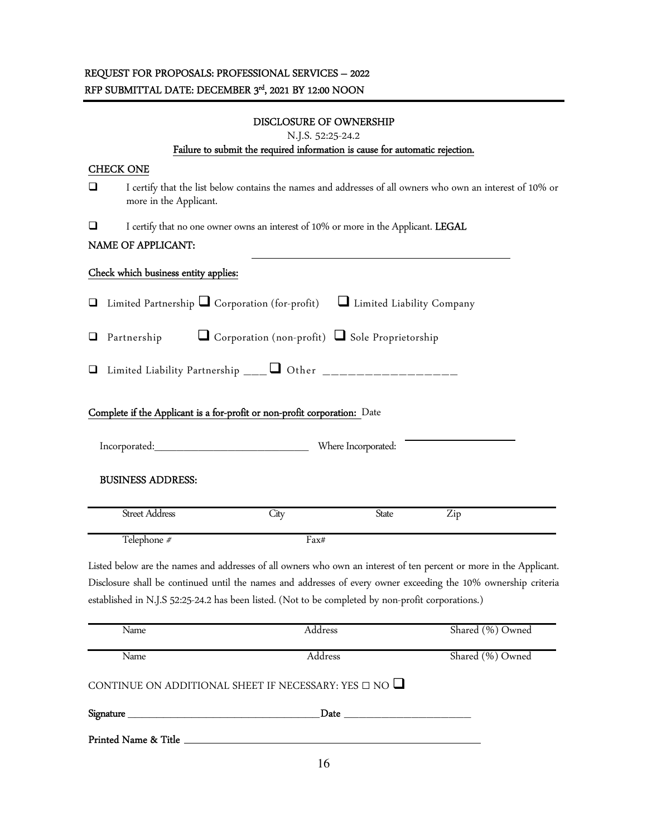| DISCLOSURE OF OWNERSHIP<br>N.J.S. 52:25-24.2<br>Failure to submit the required information is cause for automatic rejection. |                                                                                                                                      |                                                                                                                     |                     |                  |  |  |  |  |
|------------------------------------------------------------------------------------------------------------------------------|--------------------------------------------------------------------------------------------------------------------------------------|---------------------------------------------------------------------------------------------------------------------|---------------------|------------------|--|--|--|--|
| <b>CHECK ONE</b>                                                                                                             |                                                                                                                                      |                                                                                                                     |                     |                  |  |  |  |  |
| ⊔                                                                                                                            | I certify that the list below contains the names and addresses of all owners who own an interest of 10% or<br>more in the Applicant. |                                                                                                                     |                     |                  |  |  |  |  |
| ப                                                                                                                            | I certify that no one owner owns an interest of 10% or more in the Applicant. LEGAL                                                  |                                                                                                                     |                     |                  |  |  |  |  |
| NAME OF APPLICANT:                                                                                                           |                                                                                                                                      |                                                                                                                     |                     |                  |  |  |  |  |
|                                                                                                                              | Check which business entity applies:                                                                                                 |                                                                                                                     |                     |                  |  |  |  |  |
| ⊔                                                                                                                            |                                                                                                                                      | Limited Partnership $\Box$ Corporation (for-profit) $\Box$ Limited Liability Company                                |                     |                  |  |  |  |  |
| Corporation (non-profit) Sole Proprietorship<br>Partnership<br>⊔                                                             |                                                                                                                                      |                                                                                                                     |                     |                  |  |  |  |  |
| Limited Liability Partnership ___ $\Box$ Other __________________<br>⊔                                                       |                                                                                                                                      |                                                                                                                     |                     |                  |  |  |  |  |
| Complete if the Applicant is a for-profit or non-profit corporation: Date                                                    |                                                                                                                                      |                                                                                                                     |                     |                  |  |  |  |  |
|                                                                                                                              | Incorporated:                                                                                                                        |                                                                                                                     | Where Incorporated: |                  |  |  |  |  |
|                                                                                                                              | <b>BUSINESS ADDRESS:</b>                                                                                                             |                                                                                                                     |                     |                  |  |  |  |  |
|                                                                                                                              | <b>Street Address</b>                                                                                                                | City                                                                                                                | <b>State</b>        | Zip              |  |  |  |  |
|                                                                                                                              | Telephone #                                                                                                                          | Fax#                                                                                                                |                     |                  |  |  |  |  |
|                                                                                                                              |                                                                                                                                      | Listed below are the names and addresses of all owners who own an interest of ten percent or more in the Applicant. |                     |                  |  |  |  |  |
| Disclosure shall be continued until the names and addresses of every owner exceeding the 10% ownership criteria              |                                                                                                                                      |                                                                                                                     |                     |                  |  |  |  |  |
| established in N.J.S 52:25-24.2 has been listed. (Not to be completed by non-profit corporations.)                           |                                                                                                                                      |                                                                                                                     |                     |                  |  |  |  |  |
|                                                                                                                              | Name                                                                                                                                 | Address                                                                                                             |                     | Shared (%) Owned |  |  |  |  |
|                                                                                                                              | Name                                                                                                                                 | Address                                                                                                             |                     | Shared (%) Owned |  |  |  |  |
|                                                                                                                              |                                                                                                                                      | CONTINUE ON ADDITIONAL SHEET IF NECESSARY: YES $\Box$ NO $\Box$                                                     |                     |                  |  |  |  |  |

| n.<br>. .<br>งเ | -- |
|-----------------|----|
|                 |    |

Printed Name & Title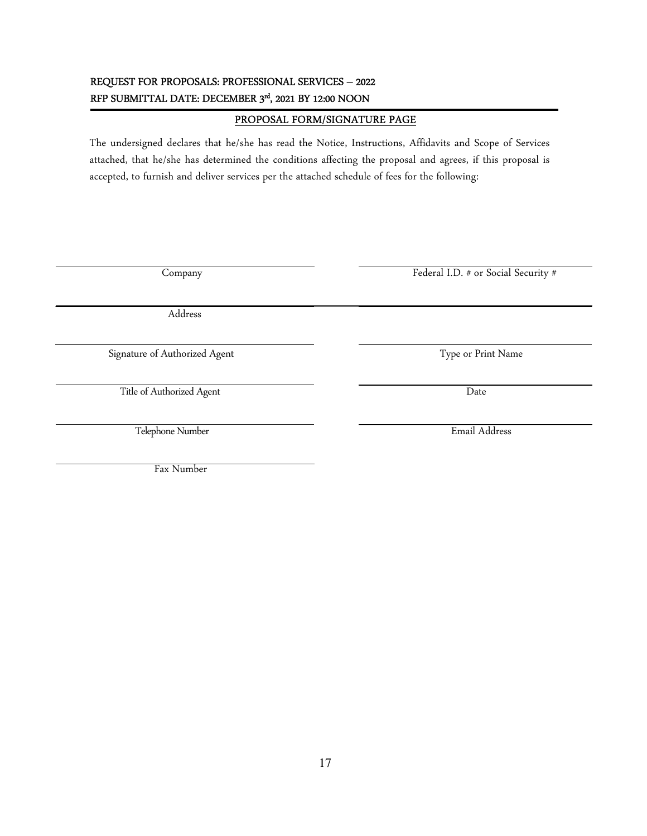# REQUEST FOR PROPOSALS: PROFESSIONAL SERVICES – 2022 RFP SUBMITTAL DATE: DECEMBER 3<sup>rd</sup>, 2021 BY 12:00 NOON

# PROPOSAL FORM/SIGNATURE PAGE

The undersigned declares that he/she has read the Notice, Instructions, Affidavits and Scope of Services attached, that he/she has determined the conditions affecting the proposal and agrees, if this proposal is accepted, to furnish and deliver services per the attached schedule of fees for the following:

Company Federal I.D. # or Social Security #

Address

Signature of Authorized Agent Type or Print Name

Title of Authorized Agent Date

Telephone Number Email Address

Fax Number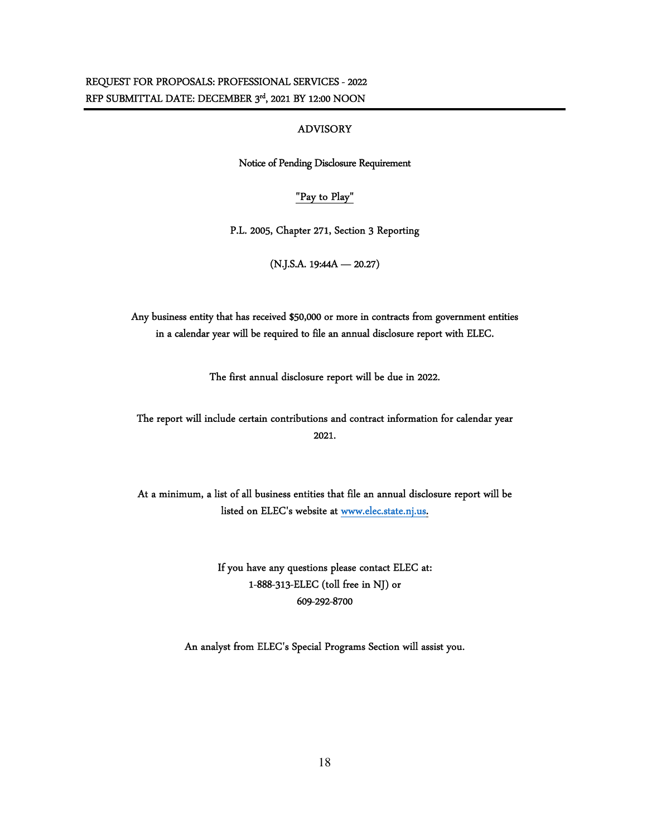## ADVISORY

Notice of Pending Disclosure Requirement

## "Pay to Play"

P.L. 2005, Chapter 271, Section 3 Reporting

(N.J.S.A. 19:44A — 20.27)

Any business entity that has received \$50,000 or more in contracts from government entities in a calendar year will be required to file an annual disclosure report with ELEC.

The first annual disclosure report will be due in 2022.

The report will include certain contributions and contract information for calendar year 2021.

At a minimum, a list of all business entities that file an annual disclosure report will be listed on ELEC's website at www.elec.state.nj.us.

> If you have any questions please contact ELEC at: 1-888-313-ELEC (toll free in NJ) or 609-292-8700

An analyst from ELEC's Special Programs Section will assist you.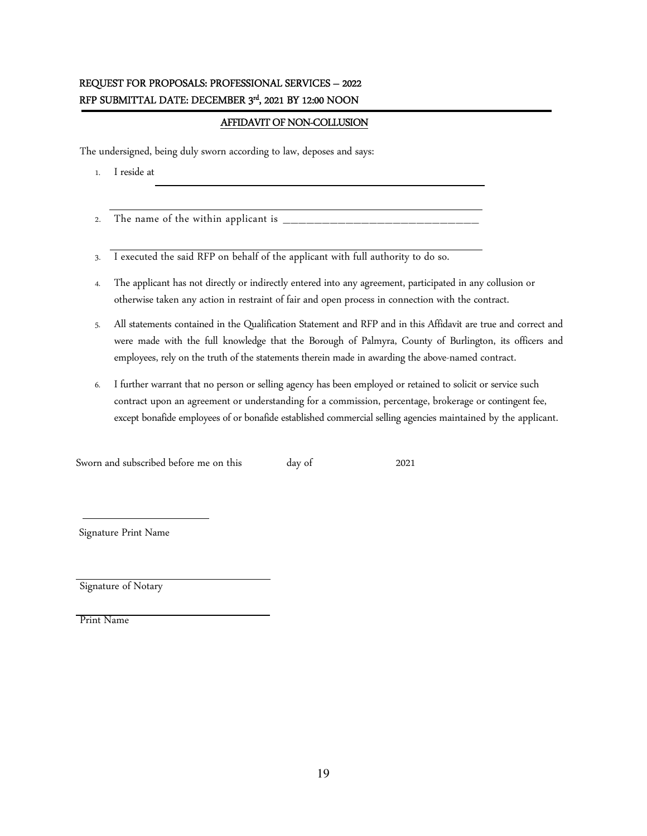# REQUEST FOR PROPOSALS: PROFESSIONAL SERVICES – 2022  $\mathbb{R}$ FP SUBMITTAL DATE: DECEMBER  $3^{\mathrm{rd}},$  2021 BY 12:00 NOON

## AFFIDAVIT OF NON-COLLUSION

The undersigned, being duly sworn according to law, deposes and says:

- 1. I reside at
- 2. The name of the within applicant is \_
- 3. I executed the said RFP on behalf of the applicant with full authority to do so.
- 4. The applicant has not directly or indirectly entered into any agreement, participated in any collusion or otherwise taken any action in restraint of fair and open process in connection with the contract.
- 5. All statements contained in the Qualification Statement and RFP and in this Affidavit are true and correct and were made with the full knowledge that the Borough of Palmyra, County of Burlington, its officers and employees, rely on the truth of the statements therein made in awarding the above-named contract.
- 6. I further warrant that no person or selling agency has been employed or retained to solicit or service such contract upon an agreement or understanding for a commission, percentage, brokerage or contingent fee, except bonafide employees of or bonafide established commercial selling agencies maintained by the applicant.

Sworn and subscribed before me on this day of 2021

Signature Print Name

Signature of Notary

Print Name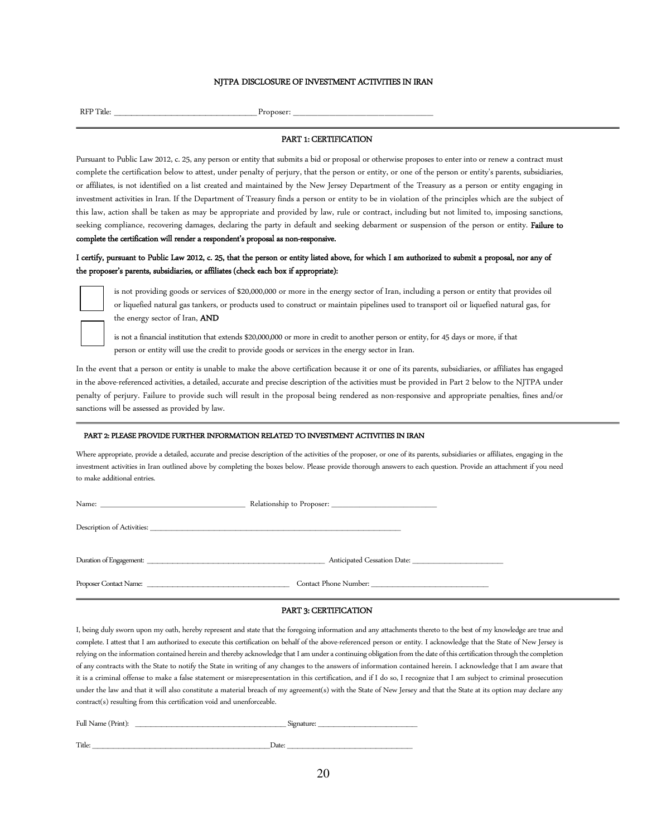#### NITPA DISCLOSURE OF INVESTMENT ACTIVITIES IN IRAN

RFP Title: \_\_\_\_\_\_\_\_\_\_\_\_\_\_\_\_\_\_\_\_\_\_\_\_\_ Proposer: \_\_\_\_\_\_\_\_\_\_\_\_\_\_\_\_\_\_\_\_\_\_\_

#### PART 1: CERTIFICATION

Pursuant to Public Law 2012, c. 25, any person or entity that submits a bid or proposal or otherwise proposes to enter into or renew a contract must complete the certification below to attest, under penalty of perjury, that the person or entity, or one of the person or entity's parents, subsidiaries, or affiliates, is not identified on a list created and maintained by the New Jersey Department of the Treasury as a person or entity engaging in investment activities in Iran. If the Department of Treasury finds a person or entity to be in violation of the principles which are the subject of this law, action shall be taken as may be appropriate and provided by law, rule or contract, including but not limited to, imposing sanctions, seeking compliance, recovering damages, declaring the party in default and seeking debarment or suspension of the person or entity. Failure to complete the certification will render a respondent's proposal as non-responsive.

### I certify, pursuant to Public Law 2012, c. 25, that the person or entity listed above, for which I am authorized to submit a proposal, nor any of the proposer's parents, subsidiaries, or affiliates (check each box if appropriate):



is not providing goods or services of \$20,000,000 or more in the energy sector of Iran, including a person or entity that provides oil or liquefied natural gas tankers, or products used to construct or maintain pipelines used to transport oil or liquefied natural gas, for the energy sector of Iran, AND

is not a financial institution that extends \$20,000,000 or more in credit to another person or entity, for 45 days or more, if that person or entity will use the credit to provide goods or services in the energy sector in Iran.

In the event that a person or entity is unable to make the above certification because it or one of its parents, subsidiaries, or affiliates has engaged in the above-referenced activities, a detailed, accurate and precise description of the activities must be provided in Part 2 below to the NJTPA under penalty of perjury. Failure to provide such will result in the proposal being rendered as non-responsive and appropriate penalties, fines and/or sanctions will be assessed as provided by law.

#### PART 2: PLEASE PROVIDE FURTHER INFORMATION RELATED TO INVESTMENT ACTIVITIES IN IRAN

Where appropriate, provide a detailed, accurate and precise description of the activities of the proposer, or one of its parents, subsidiaries or affiliates, engaging in the investment activities in Iran outlined above by completing the boxes below. Please provide thorough answers to each question. Provide an attachment if you need to make additional entries.

| Description of Activities: University of Activities: |                             |
|------------------------------------------------------|-----------------------------|
|                                                      | Anticipated Cessation Date: |
| Proposer Contact Name:                               | Contact Phone Number:       |

#### PART 3: CERTIFICATION

I, being duly sworn upon my oath, hereby represent and state that the foregoing information and any attachments thereto to the best of my knowledge are true and complete. I attest that I am authorized to execute this certification on behalf of the above-referenced person or entity. I acknowledge that the State of New Jersey is relying on the information contained herein and thereby acknowledge that I am under a continuing obligation from the date of this certification through the completion of any contracts with the State to notify the State in writing of any changes to the answers of information contained herein. I acknowledge that I am aware that it is a criminal offense to make a false statement or misrepresentation in this certification, and if I do so, I recognize that I am subject to criminal prosecution under the law and that it will also constitute a material breach of my agreement(s) with the State of New Jersey and that the State at its option may declare any contract(s) resulting from this certification void and unenforceable.

| Full Name (Print): | Signature: |
|--------------------|------------|
|                    |            |
| Title:             | Date:      |